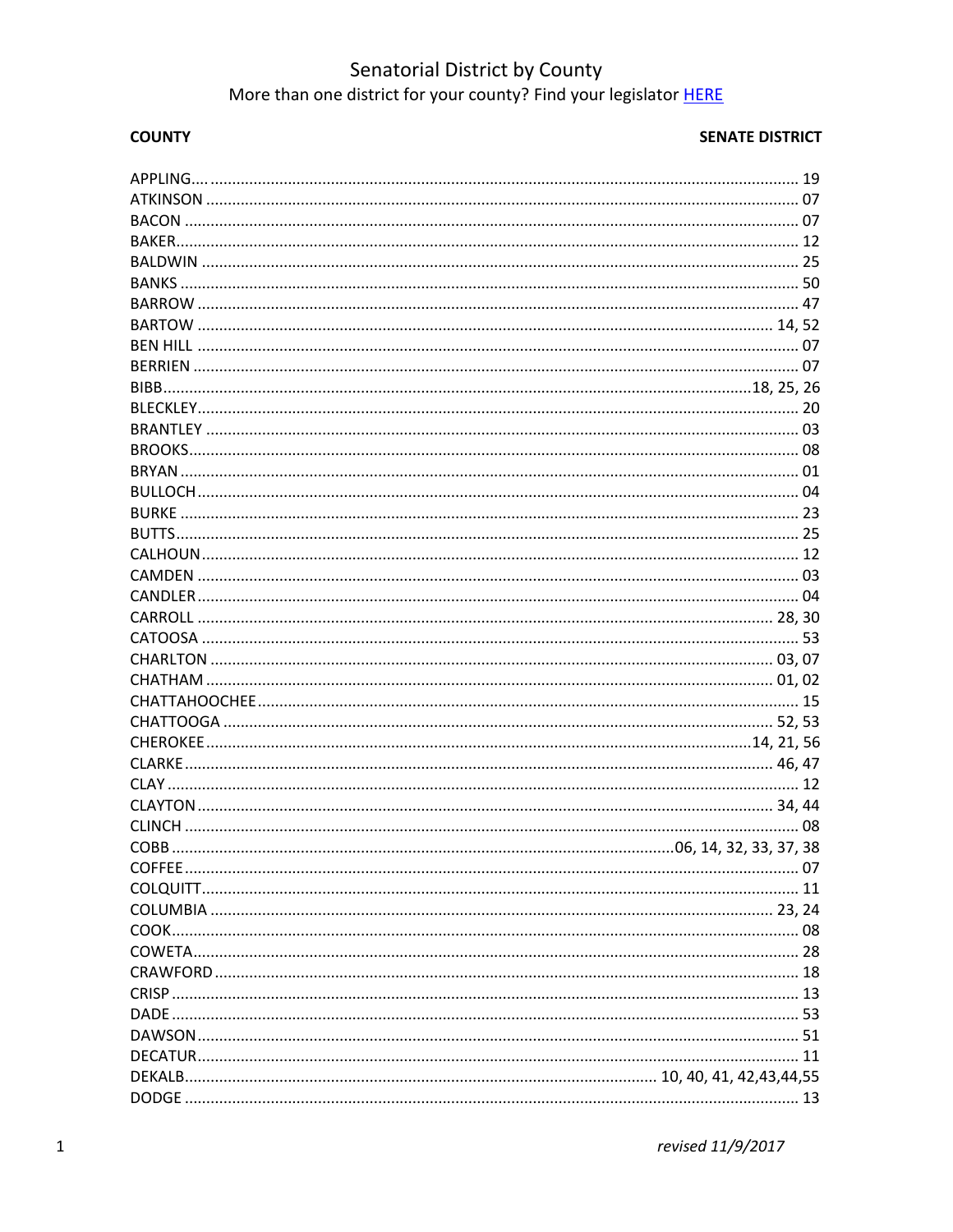# Senatorial District by County<br>More than one district for your county? Find your legislator HERE

### **COUNTY**

| $\sim$ 07 |
|-----------|
|           |
|           |
|           |
|           |
|           |
|           |
|           |
|           |
|           |
|           |
|           |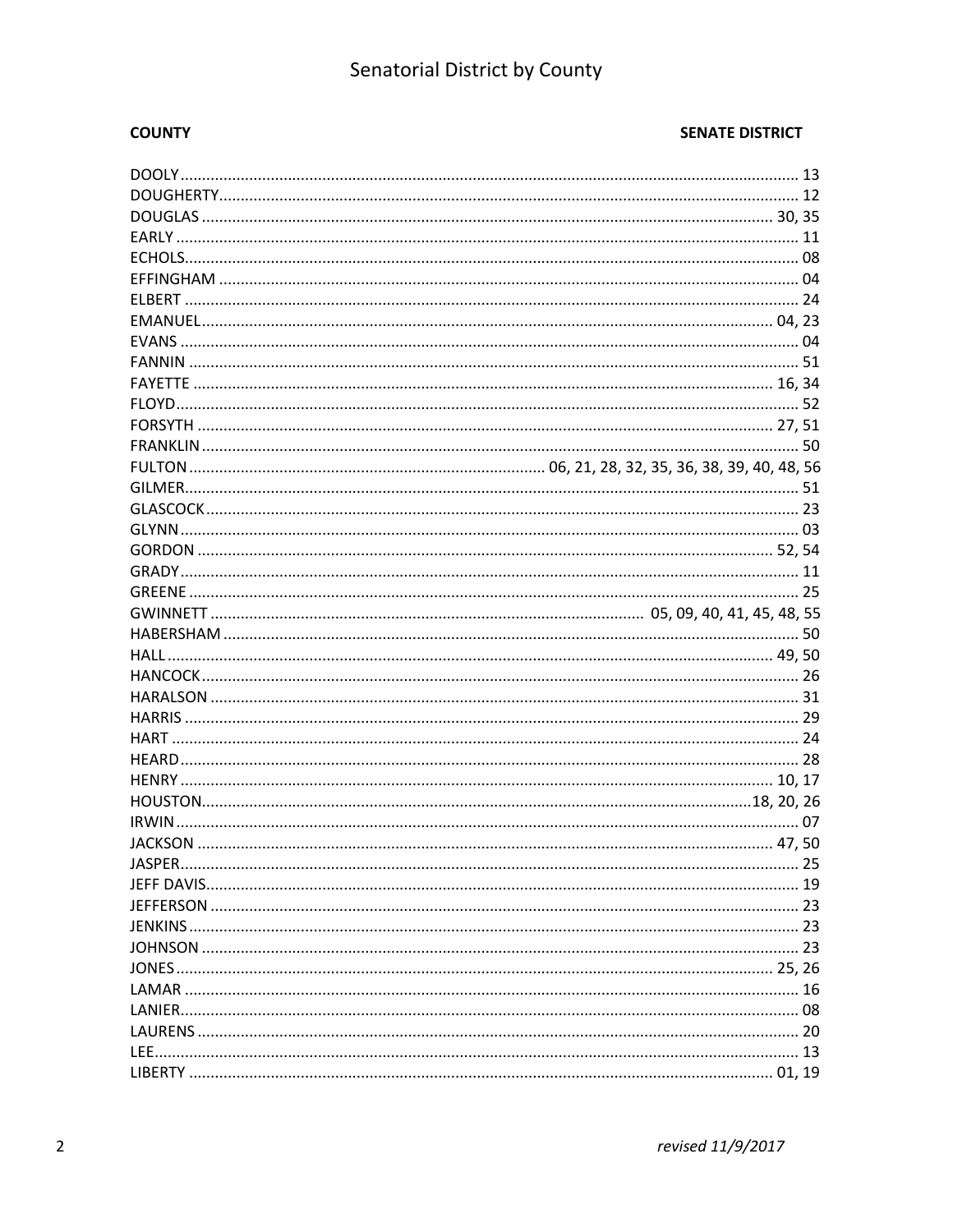## Senatorial District by County

### **COUNTY**

| IASPER. |  |
|---------|--|
|         |  |
|         |  |
|         |  |
|         |  |
|         |  |
|         |  |
|         |  |
|         |  |
|         |  |
|         |  |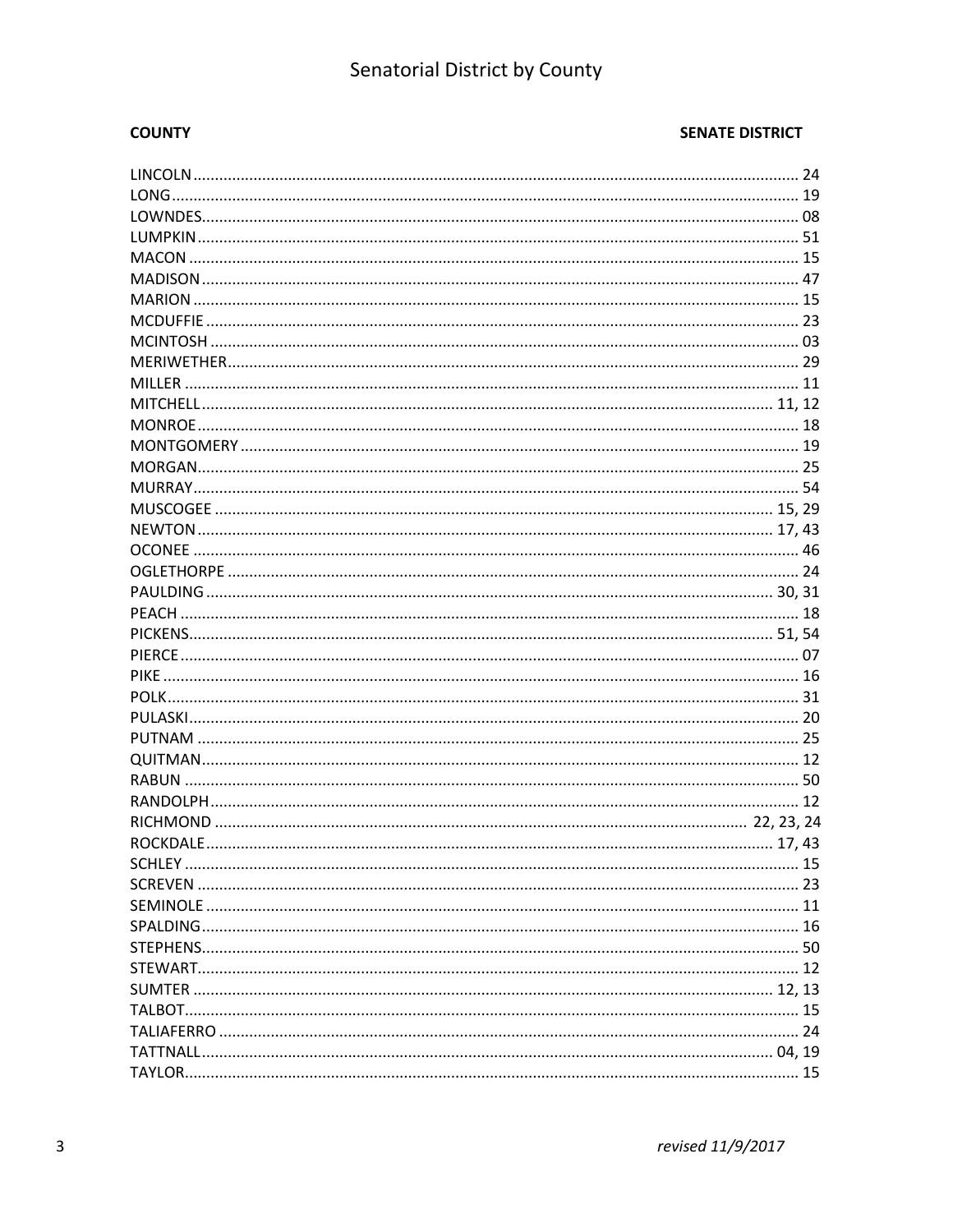## Senatorial District by County

### **COUNTY**

| SCHLEY. |  |
|---------|--|
|         |  |
|         |  |
|         |  |
|         |  |
|         |  |
|         |  |
|         |  |
|         |  |
|         |  |
|         |  |
|         |  |